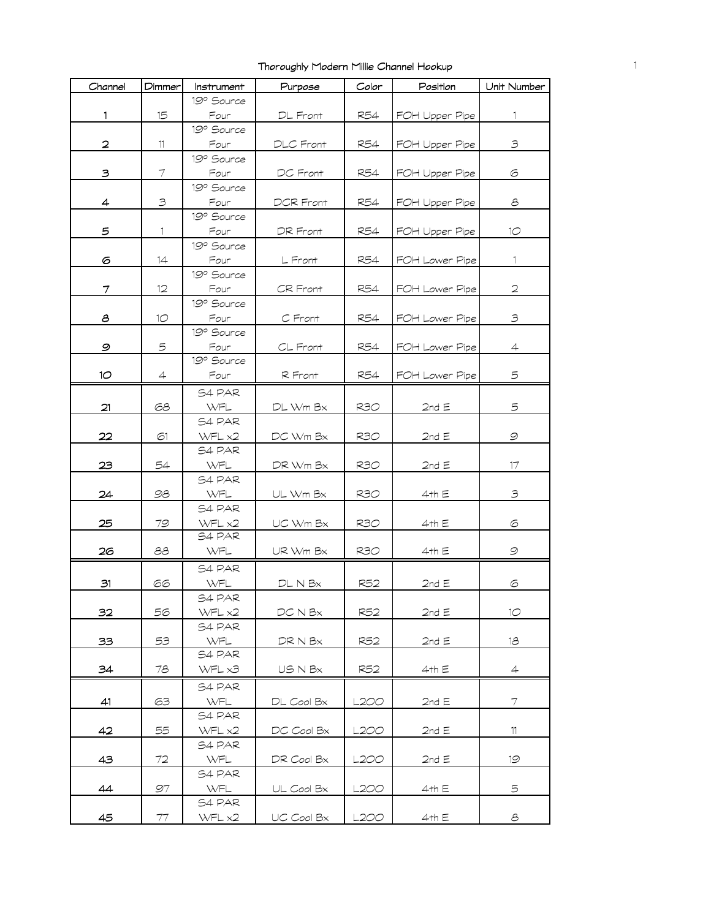| Channel                 | Dimmer | Instrument       | Purpose           | Color      | Position        | Unit Number     |
|-------------------------|--------|------------------|-------------------|------------|-----------------|-----------------|
|                         |        | 19º Source       |                   |            |                 |                 |
| 1.                      | 15     | Four             | DL Front          | R54        | FOH Upper Pipe  | 1               |
|                         |        | 19° Source       |                   |            |                 |                 |
| $\overline{\mathbf{c}}$ | 11     | Four             | DLC Front         | R54        | FOH Upper Pipe  | 3               |
|                         |        | 19º Source       |                   |            |                 |                 |
| з                       | 7      | Four             | DC Front          | R54        | FOH Upper Pipe  | 6               |
|                         |        | 19° Source       |                   |            |                 |                 |
| 4                       | 3      | Four             | <b>DCR Front</b>  | <b>R54</b> | FOH Upper Pipe  | 8               |
|                         |        | 19° Source       |                   |            |                 |                 |
| 5                       | 1.     | Four             | DR Front          | R54        | FOH Upper Pipe  | 10 <sup>°</sup> |
|                         |        | 19º Source       |                   |            |                 |                 |
| 6                       | 14     | Four             | L Front           | R54        | FOH Lower Pipe  | 1.              |
|                         |        | 19º Source       |                   |            |                 |                 |
| 7                       | 12     | Four             | CR Front          | <b>R54</b> | FOH Lower Pipe  | 2               |
|                         |        | 19° Source       |                   |            |                 |                 |
| 8                       | 10     | Four             | C Front           | R54        | FOH Lower Pipe  | 3               |
|                         |        | 19º Source       |                   |            |                 |                 |
| 9                       | 5      | Four             | $CL$ Front        | R54        | FOH Lower Pipe  | 4               |
|                         |        | 19º Source       |                   |            |                 |                 |
| 10                      | 4      | Four             | R Front           | R54        | FOH Lower Pipe  | 5               |
|                         |        | S4 PAR           |                   |            |                 |                 |
| 21                      | 68     | WFL              | DL Wm Bx          | <b>R30</b> | $2$ nd E        | 5               |
|                         |        | S4 PAR           |                   |            |                 |                 |
| 22                      | 61     | WFL x2           | DC Wm Bx          | R30        | 2nd E           | $\mathcal{Q}$   |
|                         |        | S4 PAR           |                   |            |                 |                 |
| 23                      | 54     | WFL              |                   |            |                 | 17              |
|                         |        | S4 PAR           | DR Wm Bx          | R30        | 2nd E           |                 |
| 24                      | 98     | WFL              |                   | R3O        | 4th E           | 3               |
|                         |        | S4 PAR           | UL Wm Bx          |            |                 |                 |
|                         |        |                  |                   |            |                 |                 |
| 25                      | 79     | WFL x2<br>S4 PAR | UC Wm Bx          | R3O        | 4th E           | 6               |
| 26                      | 88     | WFL              | UR Wm Bx          | R30        | 4th E           | 9               |
|                         |        |                  |                   |            |                 |                 |
|                         |        | S4 PAR           |                   |            |                 |                 |
| 31                      | 66     | WFL              | $DL$ N $Bx$       | R52        | 2ndE            | 6               |
|                         |        | S4 PAR           |                   |            |                 |                 |
| 32                      | 56     | WFL x2           | $DC$ N $Bx$       | R52        | 2nd E           | 10 <sup>°</sup> |
|                         |        | S4 PAR           |                   |            |                 |                 |
| 33                      | 53     | WFL              | $DR$ N $Bx$       | R52        | 2nd $\mathsf E$ | 18              |
|                         |        | S4 PAR           |                   |            |                 |                 |
| 34                      | 78     | WFL x3           | USNB <sub>x</sub> | R52        | 4th E           | $\overline{4}$  |
|                         |        | S4 PAR           |                   |            |                 |                 |
| 41                      | 63     | WFL              | $DL$ Cool $Bx$    | L200       | 2ndE            | 7               |
|                         |        | S4 PAR           |                   |            |                 |                 |
| 42                      | 55     | WFL x2           | DC Cool Bx        | L2OO       | 2nd $\mathsf E$ | 11              |
|                         |        | S4 PAR           |                   |            |                 |                 |
| 43                      | 72     | WFL              | DR Cool Bx        | L2OO       | $2$ nd $E$      | 19              |
|                         |        | S4 PAR           |                   |            |                 |                 |
| 44                      | 97     | WFL              | $UL$ Cool B $x$   | L200       | 4th E           | 5               |
|                         |        | S4 PAR           |                   |            |                 |                 |
| 45                      | 77     | WFL x2           | UC Cool Bx        | L200       | 4th E           | 8               |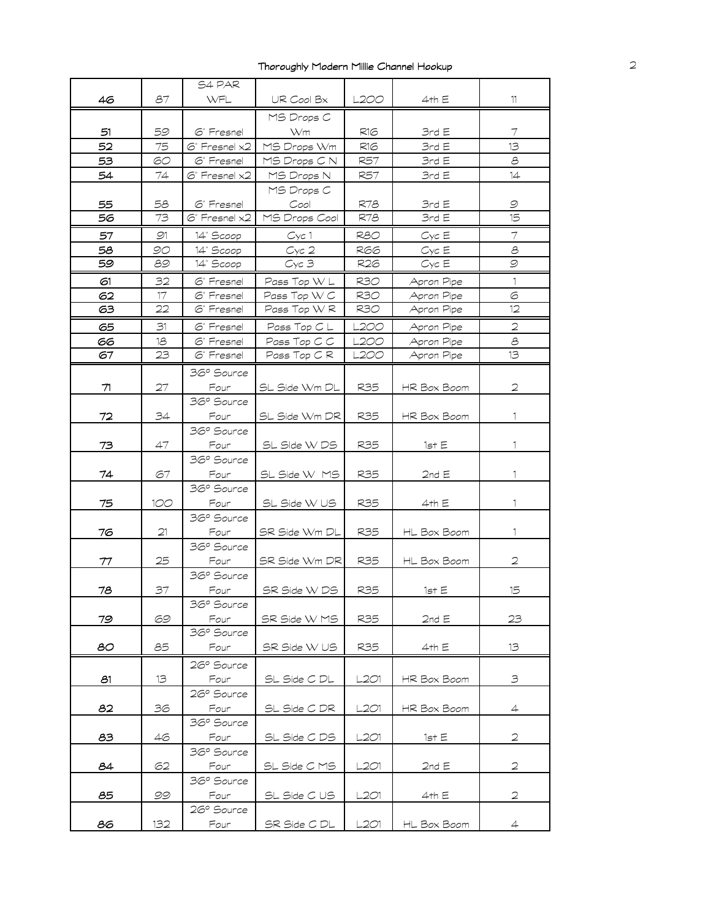|    |     | S4 PAR                       |                             |            |                          |                |
|----|-----|------------------------------|-----------------------------|------------|--------------------------|----------------|
| 46 | 87  | WFL                          | UR Cool Bx                  | L2OO       | 4th E                    | 11             |
|    |     |                              | MS Drops C                  |            |                          |                |
| 51 | 59  | 6" Fresnel                   | Wm                          | R16        | 3rdE                     | 7              |
| 52 | 75  | $\circ$ " Fresnel $\times 2$ | MS Drops Wm                 | R16        | 3rd E                    | 13             |
| 53 | 60  | 6" Fresnel                   | MS Drops C N                | R57        | 3rdE                     | 8              |
| 54 | 74  |                              |                             |            |                          | 14             |
|    |     | $G$ Fresnel $x2$             | MS Drops N                  | R57        | 3rdE                     |                |
|    |     |                              | MS Drops C                  |            |                          |                |
| 55 | 58  | 6" Fresnel                   | Cool                        | R78        | 3rdE                     | 9              |
| 56 | 73  | $\odot$ " Fresnel x2         | MS Drops Cool               | R78        | 3rdE                     | 15             |
| 57 | 91  | 14" Scoop                    | Cyc1                        | R8O        | $Cyc \to$                | $\tau$         |
| 58 | 90  | 14" Scoop                    | Cyc2                        | R66        | $Cyc \to$                | $\mathcal{E}$  |
| 59 | 89  | 14" Scoop                    | Cyc 3                       | R26        | $Cyc \to$                | 9              |
| 61 | 32  | 6" Fresnel                   | Pass Top W L                | R30        | Apron Pipe               | $\mathbf{1}$   |
| 62 | 17  | 6" Fresnel                   | Pass Top W C                | R30        | Apron Pipe               | 6              |
| 63 | 22  | 6" Fresnel                   | Pass Top WR                 | R30        | Apron Pipe               | 12             |
| 65 | 31  | 6" Fresnel                   | Pass Top C L                | L2OO       | Apron Pipe               | 2              |
| 66 | 18  | 6" Fresnel                   |                             | L2OO       |                          | 8              |
| 67 | 23  | 6" Fresnel                   | Pass Top C C<br>Pass Top CR | L200       | Apron Pipe<br>Apron Pipe | 13             |
|    |     |                              |                             |            |                          |                |
|    |     | 36° Source                   |                             |            |                          |                |
| 71 | 27  | Four                         | SL Side Wm DL               | <b>R35</b> | HR Box Boom              | $\overline{2}$ |
|    |     | 36° Source                   |                             |            |                          |                |
| 72 | 34  | Four                         | SL Side Wm DR               | R35        | HR Box Boom              | $\mathbf{1}$   |
|    |     | 36° Source                   |                             |            |                          |                |
| 73 | 47  | Four                         | SL SIde W DS                | R35        | 1st E                    | 1.             |
|    |     | 36° Source                   |                             |            |                          |                |
| 74 | 67  | Four                         | SL Side W MS                | R35        | 2ndE                     | 1              |
|    |     | 36° Source                   |                             |            |                          |                |
| 75 | 100 | Four                         | SL Side W US                | R35        | 4th E                    | 1.             |
|    |     | 36° Source                   |                             |            |                          |                |
| 76 | 21  | Four                         |                             | R35        |                          | 1.             |
|    |     | 36° Source                   | SR Side Wm DL               |            | HL Box Boom              |                |
|    |     |                              |                             |            |                          |                |
| 77 | 25  | Four                         | SR Side Wm DR               | <b>R35</b> | HL Box Boom              | $\overline{2}$ |
|    |     | 36° Source                   |                             |            |                          |                |
| 78 | 37  | Four                         | SR Side W DS                | R35        | 1st E                    | 15             |
|    |     | 36° Source                   |                             |            |                          |                |
| 79 | 69  | Four                         | SR Side W MS                | R35        | 2ndE                     | 23             |
|    |     | 36° Source                   |                             |            |                          |                |
| 80 | 85  | Four                         | SR Side W US                | R35        | 4th E                    | 13             |
|    |     | 26° Source                   |                             |            |                          |                |
| 81 | 13  | Four                         | SL Side C DL                | L2O1       | HR Box Boom              | $\mathfrak{S}$ |
|    |     | 26° Source                   |                             |            |                          |                |
| 82 | 36  | Four                         | SL Side C DR                | L2O1       | HR Box Boom              | $\overline{4}$ |
|    |     | 36° Source                   |                             |            |                          |                |
| 83 | 46  | Four                         | SL Side C DS                | L2O1       | 1st E                    | 2              |
|    |     | 36° Source                   |                             |            |                          |                |
| 84 | 62  | Four                         | SL Side C MS                | L201       | 2ndE                     | 2              |
|    |     | 36° Source                   |                             |            |                          |                |
| 85 | 99  | Four                         | SL Side C US                | L201       | 4th E                    | $\mathfrak{D}$ |
|    |     | 26° Source                   |                             |            |                          |                |
|    |     |                              |                             |            |                          |                |
| 86 | 132 | Four                         | SR Side C DL                | L2O1       | HL Box Boom              | $\overline{4}$ |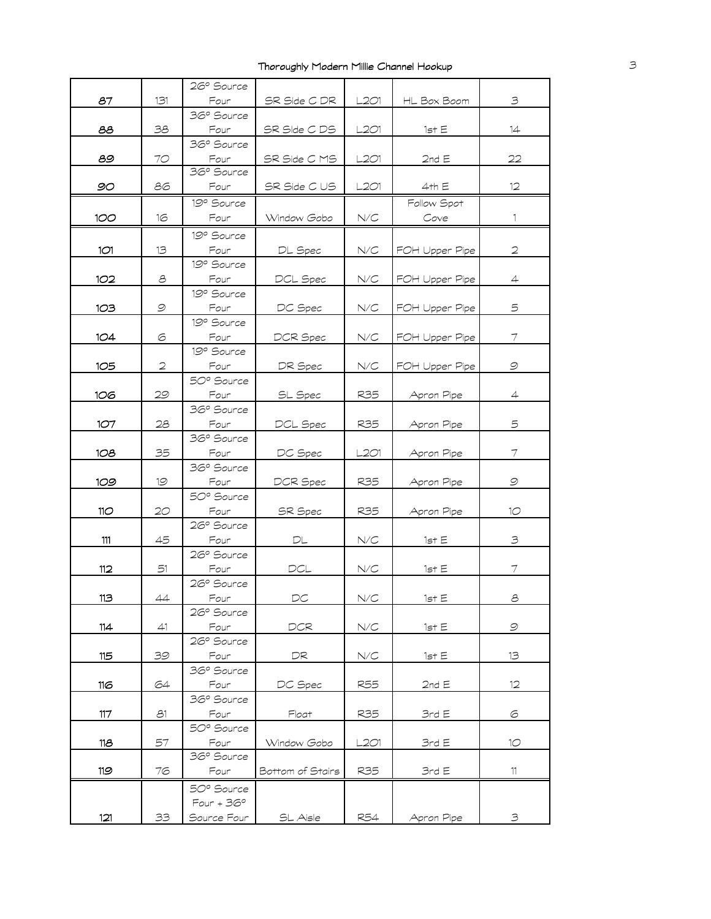|                 |                                                           | 26° Source   |                  |           |                |                 |
|-----------------|-----------------------------------------------------------|--------------|------------------|-----------|----------------|-----------------|
| 87              | 131                                                       | Four         | SR Side C DR     | L2O1      | HL Box Boom    | $\mathfrak{S}$  |
|                 |                                                           | 36° Source   |                  |           |                |                 |
| ౭౭              | 38                                                        | Four         | SR SIde C DS     | L2O1      | 1st E          | 14              |
|                 |                                                           | 36° Source   |                  |           |                |                 |
| 89              | 70                                                        | Four         | SR Side C MS     | L2O1      | 2ndE           | 22              |
|                 |                                                           | 36° Source   |                  |           |                |                 |
| 90              | 86                                                        | Four         | SR Side C US     | L2O1      | 4th E          | 12 <sup>°</sup> |
|                 |                                                           | 19º Source   |                  |           | Follow Spot    |                 |
| 100             | 16                                                        | Four         | Window Gobo      | N/C       | Cove           | 1.              |
|                 |                                                           |              |                  |           |                |                 |
|                 |                                                           | 19º Source   |                  |           |                |                 |
| 1O1             | 13                                                        | Four         | DL Spec          | N/C       | FOH Upper Pipe | $\overline{2}$  |
|                 |                                                           | 19º Source   |                  |           |                |                 |
| 102             | $\mathcal{S}% _{M_{1},M_{2}}^{\alpha,\beta}(\varepsilon)$ | Four         | DCL Spec         | $N\!/\!C$ | FOH Upper Pipe | $\overline{4}$  |
|                 |                                                           | 19° Source   |                  |           |                |                 |
| 103             | 9                                                         | Four         | DC Spec          | N/C       | FOH Upper Pipe | 5               |
|                 |                                                           | 19º Source   |                  |           |                |                 |
| 104             | 6                                                         | Four         | DCR Spec         | N/C       | FOH Upper Pipe | 7               |
|                 |                                                           | 19° Source   |                  |           |                |                 |
| 105             | 2                                                         | Four         | DR Spec          | N/C       | FOH Upper Pipe | $\mathcal{Q}$   |
|                 |                                                           | 50° Source   |                  |           |                |                 |
| 106             | 29                                                        | Four         | SL Spec          | R35       | Apron Pipe     | 4               |
|                 |                                                           | 36° Source   |                  |           |                |                 |
| 107             | 28                                                        | Four         | DCL Spec         | R35       | Apron Pipe     | 5               |
|                 |                                                           | 36° Source   |                  |           |                |                 |
| 108             | 35                                                        | Four         | DC Spec          | L2O1      | Apron Pipe     | 7               |
|                 |                                                           | 36° Source   |                  |           |                |                 |
| 109             | 19                                                        | Four         | DCR Spec         | R35       | Apron Pipe     | $\mathcal{Q}$   |
|                 |                                                           | 50° Source   |                  |           |                |                 |
| 11 <sub>O</sub> | 20                                                        | Four         | <b>SR</b> Spec   | R35       | Apron Pipe     | 10              |
|                 |                                                           | 26° Source   |                  |           |                |                 |
| 111             | 45                                                        | Four         | DL               | N/C       | 1st E          | $\exists$       |
|                 |                                                           | 26° Source   |                  |           |                |                 |
| 112             | 51                                                        | Four         | $DCL$            | N/C       | 1st E          | 7               |
|                 |                                                           | 26° Source   |                  |           |                |                 |
| 113             | 44                                                        | Four         | DC.              | N/C       | 1st E          | 8               |
|                 |                                                           | 26° Source   |                  |           |                |                 |
| 114             | 41                                                        | Four         | DCR              | N/C       | 1st E          | $\mathcal{Q}$   |
|                 |                                                           | 26° Source   |                  |           |                |                 |
| 115             | 39                                                        | Four         | DR               | N/C       | 1st E          | 13              |
|                 |                                                           | 36° Source   |                  |           |                |                 |
| 116             | 64                                                        | Four         | DC Spec          | R55       | 2ndE           | 12              |
|                 |                                                           | 36° Source   |                  |           |                |                 |
| 117             | 81                                                        | Four         | Float            | R35       | 3rdE           | 6               |
|                 |                                                           | 50° Source   |                  |           |                |                 |
| 118             | 57                                                        | Four         | Window Gobo      | L201      | 3rdE           | 10              |
|                 |                                                           | 36° Source   |                  |           |                |                 |
| 119             | 76                                                        | Four         | Bottom of Stairs | R35       | 3rdE           | 11              |
|                 |                                                           | 50° Source   |                  |           |                |                 |
|                 |                                                           | $Four + 36°$ |                  |           |                |                 |
| 121             | 33                                                        | Source Four  | SL Aisle         | R54       | Apron Pipe     | 3               |
|                 |                                                           |              |                  |           |                |                 |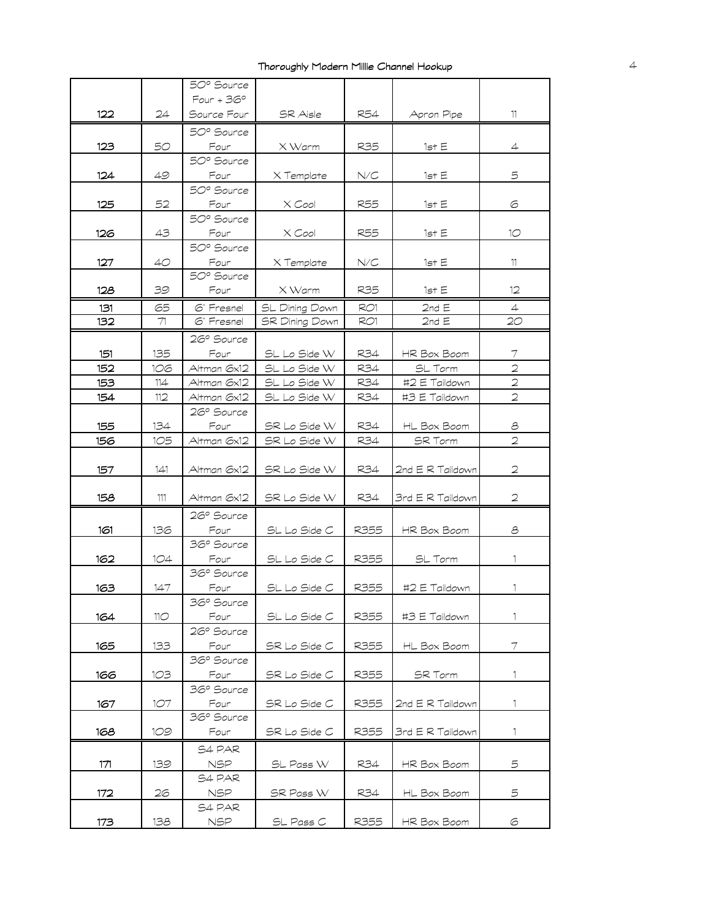|     |     | 50° Source   |                       |            |                  |                          |
|-----|-----|--------------|-----------------------|------------|------------------|--------------------------|
|     |     | $Four + 36°$ |                       |            |                  |                          |
| 122 | 24  | Source Four  | SR Aisle              | R54        | Apron Pipe       | 11                       |
|     |     | 50° Source   |                       |            |                  |                          |
| 123 | 50  | Four         | X Warm                | R35        | 1st E            | 4                        |
|     |     | 50° Source   |                       |            |                  |                          |
| 124 | 49  | Four         | X Template            | N/C        | 1st E            | 5                        |
|     |     | 50° Source   |                       |            |                  |                          |
| 125 | 52  | Four         | $X$ Cool              | <b>R55</b> | 1st E            | 6                        |
|     |     | 50° Source   |                       |            |                  |                          |
| 126 | 43  | Four         | X Cool                | R55        | 1st E            | 10 <sup>o</sup>          |
|     |     | 50° Source   |                       |            |                  |                          |
| 127 | 40  | Four         | X Template            | N/C        | 1st E            | 11                       |
|     |     | 50° Source   |                       |            |                  |                          |
| 128 | 39  | Four         | X Warm                | R35        | 1st E            | $12 \,$                  |
| 131 | 65  | 6" Fresnel   | SL Dining Down        | RO1        | 2ndE             | $\overline{4}$           |
| 132 | 71  | 6" Fresnel   | <b>SR Dining Down</b> | RO1        | 2nd E            | 20                       |
|     |     | 26° Source   |                       |            |                  |                          |
| 151 | 135 | Four         | SL Lo Side W          | R34        | HR Box Boom      | 7                        |
| 152 | 106 | Altman 6x12  | SL Lo Side W          | R34        | SL Torm          | $\overline{2}$           |
| 153 | 114 | Altman 6x12  | SL Lo Side W          | R34        | #2 E Taildown    | $\overline{a}$           |
| 154 | 112 | Altman 6x12  | SL Lo Side W          | R34        | #3 E Taildown    | $\overline{2}$           |
|     |     | 26° Source   |                       |            |                  |                          |
| 155 | 134 | Four         | SR Lo Side W          | R34        | HL Box Boom      | 8                        |
| 156 | 105 | Altman 6x12  | SR Lo Side W          | R34        | <b>SR Torm</b>   | $\overline{2}$           |
|     |     |              |                       |            |                  |                          |
| 157 | 141 | Altman 6x12  | SR Lo Side W          | R34        | 2nd E R Taildown | $\mathbf{C}$             |
|     |     |              |                       |            |                  |                          |
| 158 | 111 | Altman 6x12  | SR Lo Side W          | R34        | 3rd E R Taildown | $\overline{2}$           |
|     |     | 26° Source   |                       |            |                  |                          |
| 161 | 136 | Four         | SL Lo Side C          | R355       | HR Box Boom      | 8                        |
|     |     | 36° Source   |                       |            |                  |                          |
| 162 | 1O4 | Four         | SL Lo Side C          | R355       | SL Torm          | 1                        |
|     |     | 36° Source   |                       |            |                  |                          |
| 163 | 147 | Four         | SL Lo Side C          | R355       | #2 E Taildown    | 1                        |
|     |     | 36° Source   |                       |            |                  |                          |
| 164 | 11O | Four         | SL Lo Side C          | R355       | #3 E Taildown    | 1                        |
|     |     | 26° Source   |                       |            |                  |                          |
| 165 | 133 | Four         | SR Lo Side C          | R355       | HL Box Boom      | $\overline{\mathcal{I}}$ |
|     |     | 36° Source   |                       |            |                  |                          |
| 166 | 1O3 | Four         | SR Lo Side C          | R355       | SR Torm          | 1.                       |
|     |     | 36° Source   |                       |            |                  |                          |
| 167 | 1O7 | Four         | SR Lo Side C          | R355       | 2nd E R Taildown | 1                        |
|     |     | 36° Source   |                       |            |                  |                          |
| 168 | 109 | Four         | SR Lo Side C          | R355       | 3rd E R Taildown | 1.                       |
|     |     | S4 PAR       |                       |            |                  |                          |
| 171 | 139 | NSP          | SL Pass W             | R34        | HR Box Boom      | 5                        |
|     |     | S4 PAR       |                       |            |                  |                          |
| 172 | 26  | NSP.         | SR Pass W             | R34        | HL Box Boom      | 5                        |
|     |     | S4 PAR       |                       |            |                  |                          |
|     |     | NSP          | SL Pass C             | R355       | HR Box Boom      | 6                        |
| 173 | 138 |              |                       |            |                  |                          |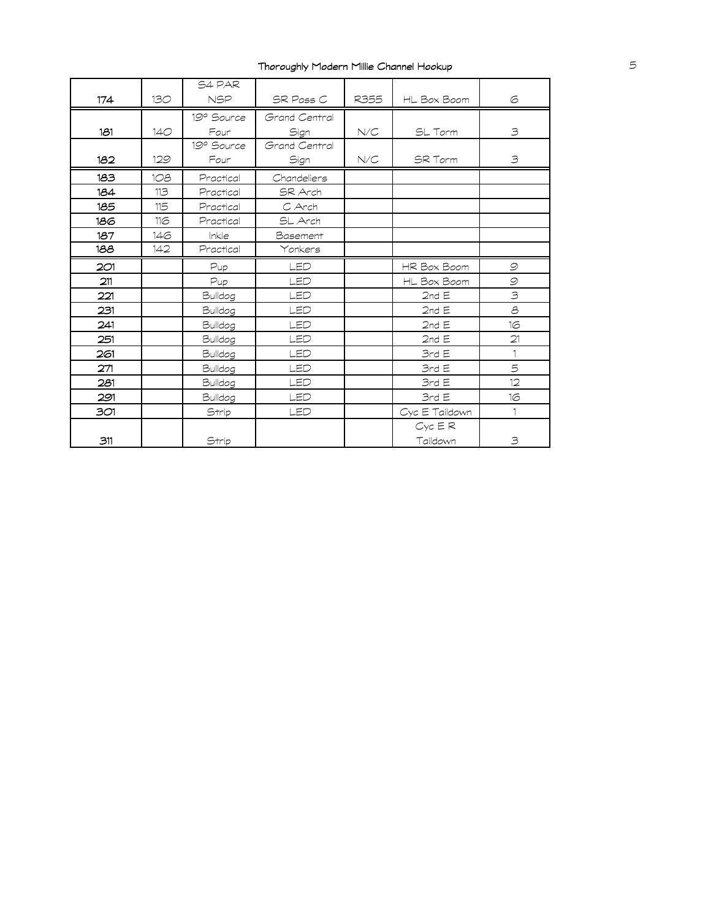|     |     | S4 PAR       |               |      |                             |               |
|-----|-----|--------------|---------------|------|-----------------------------|---------------|
| 174 | 130 | <b>NSP</b>   | SR Pass C     | R355 | HL Box Boom                 | 6             |
|     |     | 19º Source   | Grand Central |      |                             |               |
| 181 | 140 | Four         | Sign          | N/C  | SL Torm                     | 3             |
|     |     | 19° Source   | Grand Central |      |                             |               |
| 182 | 129 | Four         | Sign          | N/C  | SR Torm                     | 3             |
| 183 | 108 | Practical    | Chandeliers   |      |                             |               |
| 184 | 113 | Practical    | SR Arch       |      |                             |               |
| 185 | 115 | Practical    | C Arch        |      |                             |               |
| 186 | 116 | Practical    | SL Arch       |      |                             |               |
| 187 | 146 | <b>Inkie</b> | Basement      |      |                             |               |
| 188 | 142 | Practical    | Yonkers       |      |                             |               |
| 2O1 |     | Pup          | LED           |      | HR Box Boom                 | $\mathcal{Q}$ |
| 211 |     | Pup          | LED           |      | HL Box Boom                 | $\mathcal{Q}$ |
| 221 |     | Bulldog      | LED           |      | 2ndE                        | $\mathcal{B}$ |
| 231 |     | Bulldog      | LED           |      | 2ndE                        | $\mathcal{E}$ |
| 241 |     | Bulldog      | LED           |      | 2ndE                        | 16            |
| 251 |     | Bulldog      | LED           |      | 2ndE                        | 21            |
| 261 |     | Bulldog      | LED           |      | 3rdE                        | 1             |
| 271 |     | Bulldog      | LED           |      | 3rdE                        | 5             |
| 281 |     | Bulldog      | LED           |      | 3rdE                        | 12            |
| 291 |     | Bulldog      | LED           |      | 3rdE                        | 16            |
| 301 |     | Strip        | LED           |      | Cyc E Taildown              |               |
| 311 |     | Strip        |               |      | $Cyc$ $\in$ $R$<br>Taildown | 3             |